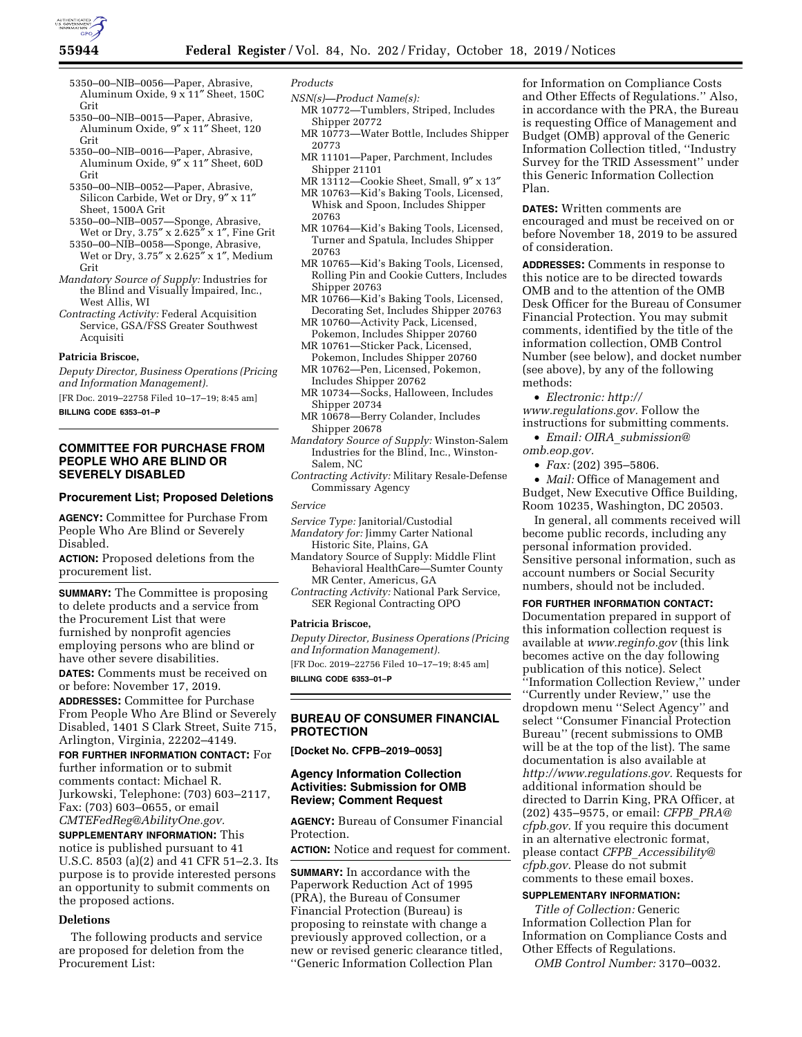

- 5350–00–NIB–0056—Paper, Abrasive, Aluminum Oxide, 9 x 11″ Sheet, 150C Grit
- 5350–00–NIB–0015—Paper, Abrasive, Aluminum Oxide, 9″ x 11″ Sheet, 120 Grit
- 5350–00–NIB–0016—Paper, Abrasive, Aluminum Oxide, 9″ x 11″ Sheet, 60D Grit
- 5350–00–NIB–0052—Paper, Abrasive, Silicon Carbide, Wet or Dry, 9″ x 11″ Sheet, 1500A Grit
- 5350–00–NIB–0057—Sponge, Abrasive, Wet or Dry, 3.75″ x 2.625″ x 1″, Fine Grit
- 5350–00–NIB–0058—Sponge, Abrasive, Wet or Dry, 3.75″ x 2.625″ x 1″, Medium Grit
- *Mandatory Source of Supply:* Industries for the Blind and Visually Impaired, Inc., West Allis, WI
- *Contracting Activity:* Federal Acquisition Service, GSA/FSS Greater Southwest Acquisiti

### **Patricia Briscoe,**

*Deputy Director, Business Operations (Pricing and Information Management).* 

[FR Doc. 2019–22758 Filed 10–17–19; 8:45 am]

**BILLING CODE 6353–01–P** 

## **COMMITTEE FOR PURCHASE FROM PEOPLE WHO ARE BLIND OR SEVERELY DISABLED**

## **Procurement List; Proposed Deletions**

**AGENCY:** Committee for Purchase From People Who Are Blind or Severely Disabled.

**ACTION:** Proposed deletions from the procurement list.

**SUMMARY:** The Committee is proposing to delete products and a service from the Procurement List that were furnished by nonprofit agencies employing persons who are blind or have other severe disabilities.

**DATES:** Comments must be received on or before: November 17, 2019.

**ADDRESSES:** Committee for Purchase From People Who Are Blind or Severely Disabled, 1401 S Clark Street, Suite 715, Arlington, Virginia, 22202–4149.

**FOR FURTHER INFORMATION CONTACT:** For further information or to submit comments contact: Michael R. Jurkowski, Telephone: (703) 603–2117, Fax: (703) 603–0655, or email *[CMTEFedReg@AbilityOne.gov.](mailto:CMTEFedReg@AbilityOne.gov)* 

**SUPPLEMENTARY INFORMATION:** This notice is published pursuant to 41 U.S.C. 8503 (a)(2) and 41 CFR 51–2.3. Its purpose is to provide interested persons an opportunity to submit comments on the proposed actions.

# **Deletions**

The following products and service are proposed for deletion from the Procurement List:

#### *Products*

- *NSN(s)—Product Name(s):*
- MR 10772—Tumblers, Striped, Includes Shipper 20772
- MR 10773—Water Bottle, Includes Shipper 20773
- MR 11101—Paper, Parchment, Includes Shipper 21101
- MR 13112—Cookie Sheet, Small, 9″ x 13″
- MR 10763—Kid's Baking Tools, Licensed, Whisk and Spoon, Includes Shipper 20763
- MR 10764—Kid's Baking Tools, Licensed, Turner and Spatula, Includes Shipper 20763
- MR 10765—Kid's Baking Tools, Licensed, Rolling Pin and Cookie Cutters, Includes Shipper 20763
- MR 10766—Kid's Baking Tools, Licensed, Decorating Set, Includes Shipper 20763
- MR 10760—Activity Pack, Licensed, Pokemon, Includes Shipper 20760
- MR 10761—Sticker Pack, Licensed, Pokemon, Includes Shipper 20760
- MR 10762—Pen, Licensed, Pokemon, Includes Shipper 20762
- MR 10734—Socks, Halloween, Includes Shipper 20734
- MR 10678—Berry Colander, Includes Shipper 20678
- *Mandatory Source of Supply:* Winston-Salem Industries for the Blind, Inc., Winston-Salem, NC
- *Contracting Activity:* Military Resale-Defense Commissary Agency

*Service* 

### *Service Type:* Janitorial/Custodial

- *Mandatory for:* Jimmy Carter National Historic Site, Plains, GA
- Mandatory Source of Supply: Middle Flint Behavioral HealthCare—Sumter County MR Center, Americus, GA
- *Contracting Activity:* National Park Service, SER Regional Contracting OPO

### **Patricia Briscoe,**

*Deputy Director, Business Operations (Pricing and Information Management).* 

[FR Doc. 2019–22756 Filed 10–17–19; 8:45 am]

**BILLING CODE 6353–01–P** 

## **BUREAU OF CONSUMER FINANCIAL PROTECTION**

**[Docket No. CFPB–2019–0053]** 

## **Agency Information Collection Activities: Submission for OMB Review; Comment Request**

**AGENCY:** Bureau of Consumer Financial Protection.

**ACTION:** Notice and request for comment.

**SUMMARY:** In accordance with the Paperwork Reduction Act of 1995 (PRA), the Bureau of Consumer Financial Protection (Bureau) is proposing to reinstate with change a previously approved collection, or a new or revised generic clearance titled, ''Generic Information Collection Plan

for Information on Compliance Costs and Other Effects of Regulations.'' Also, in accordance with the PRA, the Bureau is requesting Office of Management and Budget (OMB) approval of the Generic Information Collection titled, ''Industry Survey for the TRID Assessment'' under this Generic Information Collection Plan.

**DATES:** Written comments are encouraged and must be received on or before November 18, 2019 to be assured of consideration.

**ADDRESSES:** Comments in response to this notice are to be directed towards OMB and to the attention of the OMB Desk Officer for the Bureau of Consumer Financial Protection. You may submit comments, identified by the title of the information collection, OMB Control Number (see below), and docket number (see above), by any of the following methods:

• *Electronic: [http://](http://www.regulations.gov) [www.regulations.gov.](http://www.regulations.gov)* Follow the instructions for submitting comments.

• *Email: OIRA*\_*[submission@](mailto:OIRA_submission@omb.eop.gov) [omb.eop.gov.](mailto:OIRA_submission@omb.eop.gov)* 

• *Fax:* (202) 395–5806.

• *Mail:* Office of Management and Budget, New Executive Office Building, Room 10235, Washington, DC 20503.

In general, all comments received will become public records, including any personal information provided. Sensitive personal information, such as account numbers or Social Security numbers, should not be included.

**FOR FURTHER INFORMATION CONTACT:** 

Documentation prepared in support of this information collection request is available at *[www.reginfo.gov](http://www.reginfo.gov)* (this link becomes active on the day following publication of this notice). Select ''Information Collection Review,'' under ''Currently under Review,'' use the dropdown menu ''Select Agency'' and select ''Consumer Financial Protection Bureau'' (recent submissions to OMB will be at the top of the list). The same documentation is also available at *[http://www.regulations.gov.](http://www.regulations.gov)* Requests for additional information should be directed to Darrin King, PRA Officer, at (202) 435–9575, or email: *CFPB*\_*[PRA@](mailto:CFPB_PRA@cfpb.gov) [cfpb.gov.](mailto:CFPB_PRA@cfpb.gov)* If you require this document in an alternative electronic format, please contact *CFPB*\_*[Accessibility@](mailto:CFPB_Accessibility@cfpb.gov) [cfpb.gov.](mailto:CFPB_Accessibility@cfpb.gov)* Please do not submit comments to these email boxes.

## **SUPPLEMENTARY INFORMATION:**

*Title of Collection:* Generic Information Collection Plan for Information on Compliance Costs and Other Effects of Regulations.

*OMB Control Number:* 3170–0032.